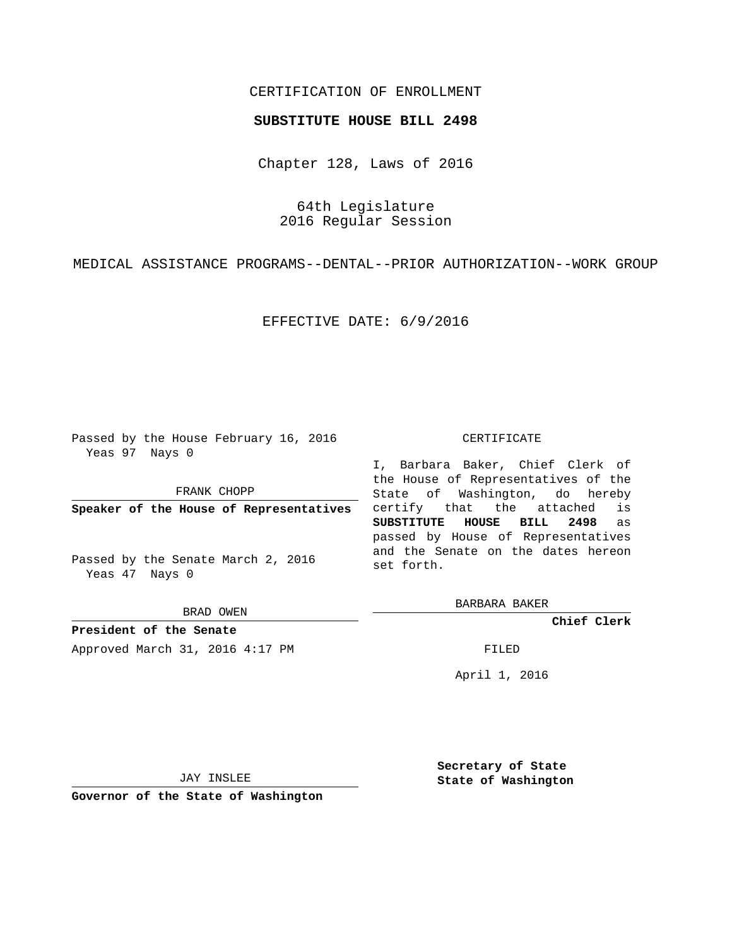## CERTIFICATION OF ENROLLMENT

## **SUBSTITUTE HOUSE BILL 2498**

Chapter 128, Laws of 2016

64th Legislature 2016 Regular Session

MEDICAL ASSISTANCE PROGRAMS--DENTAL--PRIOR AUTHORIZATION--WORK GROUP

EFFECTIVE DATE: 6/9/2016

Passed by the House February 16, 2016 Yeas 97 Nays 0

FRANK CHOPP

**Speaker of the House of Representatives**

Passed by the Senate March 2, 2016 Yeas 47 Nays 0

BRAD OWEN

**President of the Senate** Approved March 31, 2016 4:17 PM FILED

## CERTIFICATE

I, Barbara Baker, Chief Clerk of the House of Representatives of the State of Washington, do hereby certify that the attached is **SUBSTITUTE HOUSE BILL 2498** as passed by House of Representatives and the Senate on the dates hereon set forth.

BARBARA BAKER

**Chief Clerk**

April 1, 2016

JAY INSLEE

**Governor of the State of Washington**

**Secretary of State State of Washington**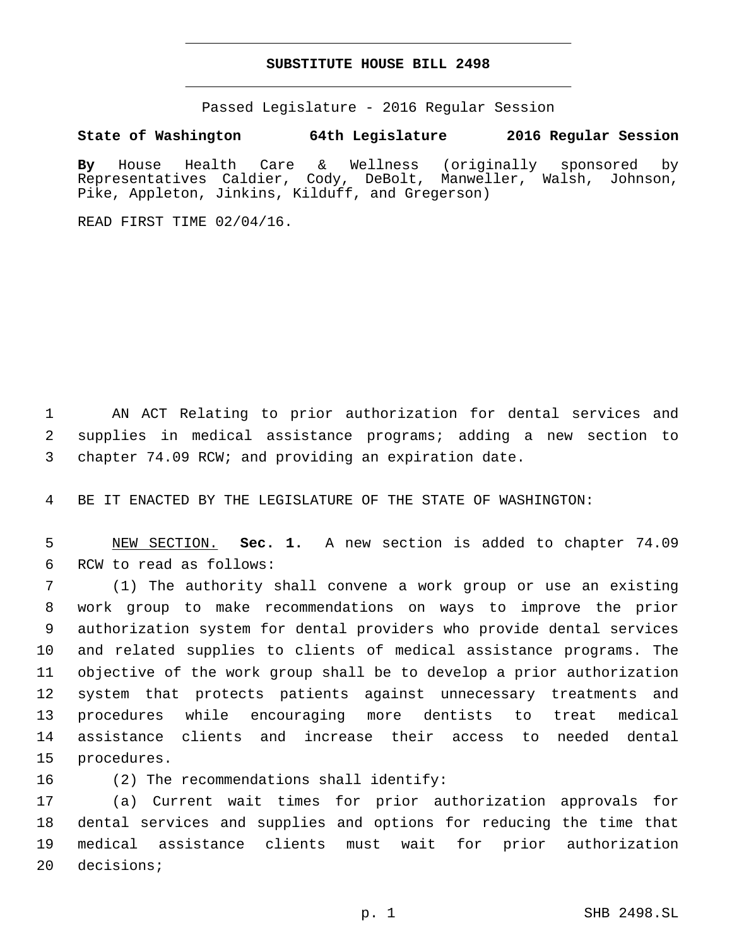## **SUBSTITUTE HOUSE BILL 2498**

Passed Legislature - 2016 Regular Session

**State of Washington 64th Legislature 2016 Regular Session**

**By** House Health Care & Wellness (originally sponsored by Representatives Caldier, Cody, DeBolt, Manweller, Walsh, Johnson, Pike, Appleton, Jinkins, Kilduff, and Gregerson)

READ FIRST TIME 02/04/16.

1 AN ACT Relating to prior authorization for dental services and 2 supplies in medical assistance programs; adding a new section to 3 chapter 74.09 RCW; and providing an expiration date.

4 BE IT ENACTED BY THE LEGISLATURE OF THE STATE OF WASHINGTON:

5 NEW SECTION. **Sec. 1.** A new section is added to chapter 74.09 6 RCW to read as follows:

 (1) The authority shall convene a work group or use an existing work group to make recommendations on ways to improve the prior authorization system for dental providers who provide dental services and related supplies to clients of medical assistance programs. The objective of the work group shall be to develop a prior authorization system that protects patients against unnecessary treatments and procedures while encouraging more dentists to treat medical assistance clients and increase their access to needed dental 15 procedures.

16 (2) The recommendations shall identify:

 (a) Current wait times for prior authorization approvals for dental services and supplies and options for reducing the time that medical assistance clients must wait for prior authorization 20 decisions;